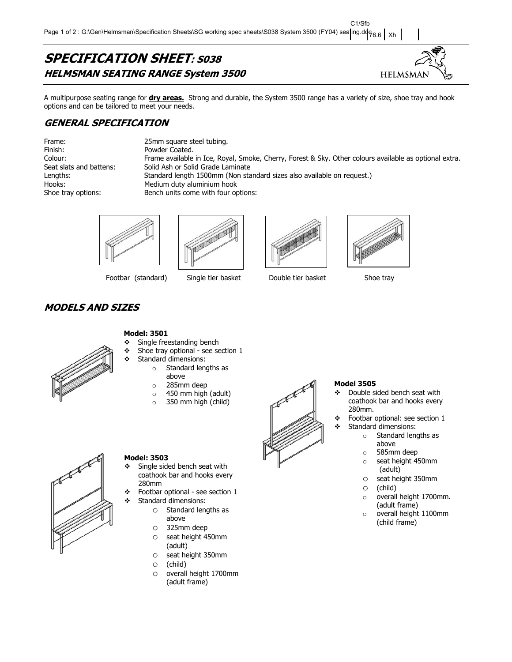# **SPECIFICATION SHEET: S038 HELMSMAN SEATING RANGE System 3500**



A multipurpose seating range for **dry areas.** Strong and durable, the System 3500 range has a variety of size, shoe tray and hook options and can be tailored to meet your needs.

## **GENERAL SPECIFICATION**

Frame: 25mm square steel tubing. Finish: Powder Coated.

Colour: Frame available in Ice, Royal, Smoke, Cherry, Forest & Sky. Other colours available as optional extra. Seat slats and battens: Solid Ash or Solid Grade Laminate Lengths: Standard length 1500mm (Non standard sizes also available on request.)<br>Hooks: Medium duty aluminium hook Medium duty aluminium hook Shoe tray options: Bench units come with four options:











# **MODELS AND SIZES**

# **Model: 3501**

- $\div$  Single freestanding bench
- $\div$  Shoe tray optional see section 1
- Standard dimensions:
	- o Standard lengths as above
	- o 285mm deep
	- o 450 mm high (adult)
	- $\circ$  350 mm high (child)



### **Model 3505**

- Double sided bench seat with coathook bar and hooks every 280mm.
- Footbar optional: see section 1 Standard dimensions:
	- o Standard lengths as above
		- o 585mm deep
		- o seat height 450mm (adult)
		- o seat height 350mm
		- o (child)
		- o overall height 1700mm. (adult frame)
		- o overall height 1100mm (child frame)



### **Model: 3503**

- Single sided bench seat with coathook bar and hooks every 280mm
- Footbar optional see section 1
- Standard dimensions:
	- o Standard lengths as above
	- o 325mm deep
	- o seat height 450mm (adult)
	- o seat height 350mm
	- o (child)
	- o overall height 1700mm (adult frame)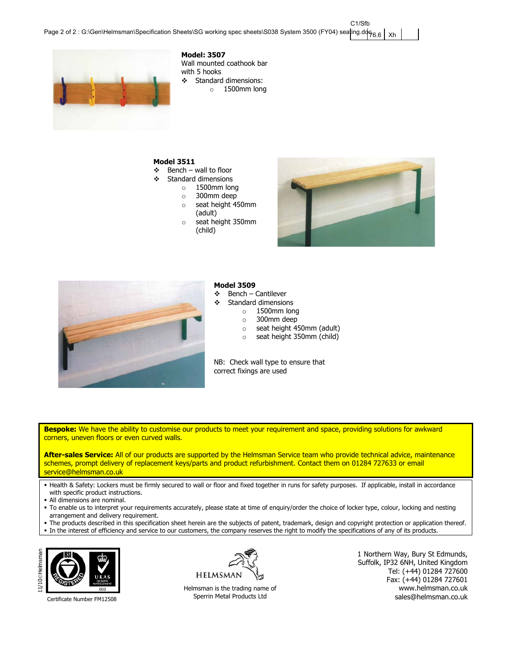



**Model: 3507**  Wall mounted coathook bar

with 5 hooks Standard dimensions: o 1500mm long

### **Model 3511**

- $\div$  Bench wall to floor
	- Standard dimensions
		- o 1500mm long
		- o 300mm deep o seat height 450mm
		- (adult)
		- o seat height 350mm (child)





#### **Model 3509**

- $\div$  Bench Cantilever
- Standard dimensions
	- o 1500mm long
	- o 300mm deep
	- o seat height 450mm (adult)
	- o seat height 350mm (child)

NB: Check wall type to ensure that correct fixings are used

**Bespoke:** We have the ability to customise our products to meet your requirement and space, providing solutions for awkward corners, uneven floors or even curved walls.

**After-sales Service:** All of our products are supported by the Helmsman Service team who provide technical advice, maintenance schemes, prompt delivery of replacement keys/parts and product refurbishment. Contact them on 01284 727633 or email service@helmsman.co.uk

- Health & Safety: Lockers must be firmly secured to wall or floor and fixed together in runs for safety purposes. If applicable, install in accordance with specific product instructions.
- All dimensions are nominal.
- To enable us to interpret your requirements accurately, please state at time of enquiry/order the choice of locker type, colour, locking and nesting arrangement and delivery requirement.
- The products described in this specification sheet herein are the subjects of patent, trademark, design and copyright protection or application thereof.
- In the interest of efficiency and service to our customers, the company reserves the right to modify the specifications of any of its products.



Certificate Number FM12508



Helmsman is the trading name of Sperrin Metal Products Ltd

1 Northern Way, Bury St Edmunds, Suffolk, IP32 6NH, United Kingdom Tel: (+44) 01284 727600 Fax: (+44) 01284 727601 www.helmsman.co.uk sales@helmsman.co.uk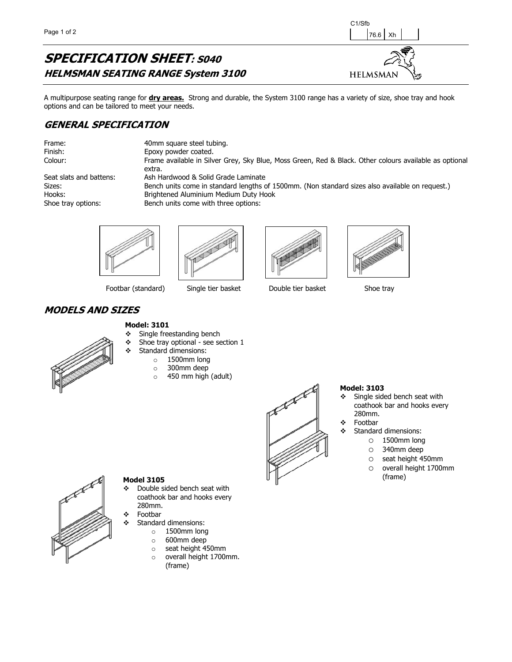# **SPECIFICATION SHEET: S040 HELMSMAN SEATING RANGE System 3100**

A multipurpose seating range for **dry areas.** Strong and durable, the System 3100 range has a variety of size, shoe tray and hook options and can be tailored to meet your needs.

## **GENERAL SPECIFICATION**

Frame: **40mm** square steel tubing. Finish: Epoxy powder coated. Colour: Frame available in Silver Grey, Sky Blue, Moss Green, Red & Black. Other colours available as optional extra. Seat slats and battens: Ash Hardwood & Solid Grade Laminate

Sizes: Bench units come in standard lengths of 1500mm. (Non standard sizes also available on request.) Hooks: Brightened Aluminium Medium Duty Hook Shoe tray options: Bench units come with three options:





Footbar (standard) Single tier basket Double tier basket Shoe tray







**MODELS AND SIZES** 

- **Model: 3101**
- Single freestanding bench
- $\div$  Shoe tray optional see section 1
- Standard dimensions:
	- o 1500mm long
	- o 300mm deep
	- o 450 mm high (adult)



### **Model: 3103**

- Single sided bench seat with coathook bar and hooks every 280mm.
- Footbar
- Standard dimensions:
	- o 1500mm long
		- o 340mm deep
		- o seat height 450mm
		- o overall height 1700mm



### (frame) **Model 3105**

- Double sided bench seat with coathook bar and hooks every 280mm.
- Footbar
- Standard dimensions:
	- o 1500mm long
		- o 600mm deep
		- o seat height 450mm
		- o overall height 1700mm. (frame)



C1/Sfb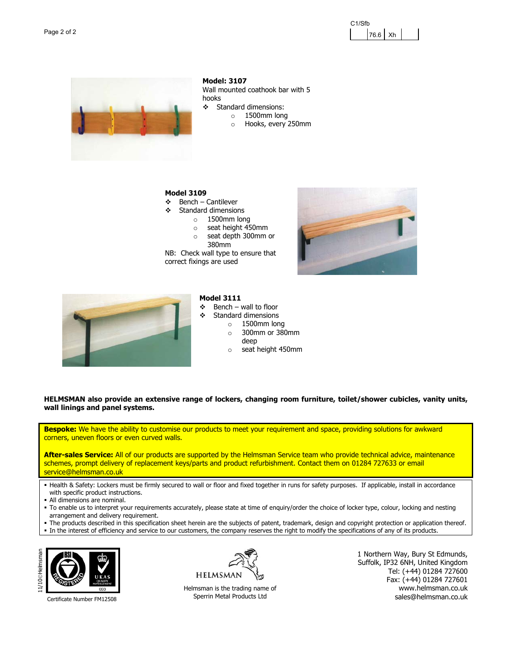



### **Model: 3107**

Wall mounted coathook bar with 5 hooks

- Standard dimensions:
	- o 1500mm long
	- o Hooks, every 250mm

#### **Model 3109**

- $\div$  Bench Cantilever
- $\div$  Standard dimensions
	- $\circ$  1500mm long
	- o seat height 450mm
	- o seat depth 300mm or 380mm

NB: Check wall type to ensure that correct fixings are used





#### **Model 3111**

- $\div$  Bench wall to floor
- $\div$  Standard dimensions
	- o 1500mm long
	- o 300mm or 380mm
		- deep
	- o seat height 450mm

#### **HELMSMAN also provide an extensive range of lockers, changing room furniture, toilet/shower cubicles, vanity units, wall linings and panel systems.**

**Bespoke:** We have the ability to customise our products to meet your requirement and space, providing solutions for awkward corners, uneven floors or even curved walls.

**After-sales Service:** All of our products are supported by the Helmsman Service team who provide technical advice, maintenance schemes, prompt delivery of replacement keys/parts and product refurbishment. Contact them on 01284 727633 or email service@helmsman.co.uk

- Health & Safety: Lockers must be firmly secured to wall or floor and fixed together in runs for safety purposes. If applicable, install in accordance with specific product instructions.
- All dimensions are nominal.
- To enable us to interpret your requirements accurately, please state at time of enquiry/order the choice of locker type, colour, locking and nesting arrangement and delivery requirement.
- The products described in this specification sheet herein are the subjects of patent, trademark, design and copyright protection or application thereof.
- In the interest of efficiency and service to our customers, the company reserves the right to modify the specifications of any of its products.



Certificate Number FM12508



Helmsman is the trading name of Sperrin Metal Products Ltd

1 Northern Way, Bury St Edmunds, Suffolk, IP32 6NH, United Kingdom Tel: (+44) 01284 727600 Fax: (+44) 01284 727601 www.helmsman.co.uk sales@helmsman.co.uk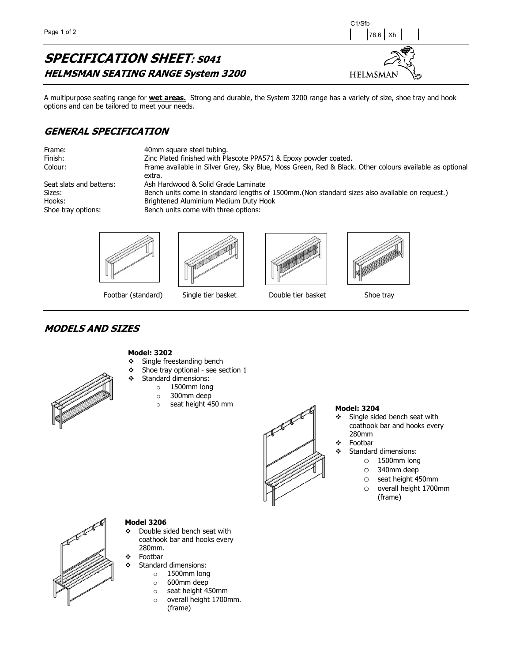# **SPECIFICATION SHEET: S041 HELMSMAN SEATING RANGE System 3200**

C1/Sfb Page 1 of 2  $76.6$  Xh



A multipurpose seating range for **wet areas.** Strong and durable, the System 3200 range has a variety of size, shoe tray and hook options and can be tailored to meet your needs.

## **GENERAL SPECIFICATION**

Frame: 40mm square steel tubing. Finish: Zinc Plated finished with Plascote PPA571 & Epoxy powder coated. Colour: Frame available in Silver Grey, Sky Blue, Moss Green, Red & Black. Other colours available as optional extra. Seat slats and battens: Ash Hardwood & Solid Grade Laminate Sizes: Bench units come in standard lengths of 1500mm.(Non standard sizes also available on request.) Hooks: Brightened Aluminium Medium Duty Hook Shoe tray options: Bench units come with three options:



Footbar (standard) Single tier basket Double tier basket Shoe tray







**MODELS AND SIZES** 

## **Model: 3202**

- Single freestanding bench
- $\div$  Shoe tray optional see section 1
- $\div$  Standard dimensions:
	- o 1500mm long
	- o 300mm deep
	- <sup>o</sup> seat height 450 mm **Model: 3204**



- Single sided bench seat with coathook bar and hooks every 280mm
- Footbar
- Standard dimensions:
	- o 1500mm long
		- o 340mm deep
		- o seat height 450mm
		- o overall height 1700mm (frame)



### **Model 3206**

 Double sided bench seat with coathook bar and hooks every 280mm.

- Footbar
- Standard dimensions:
	- o 1500mm long
		- o 600mm deep
		- o seat height 450mm
		- o overall height 1700mm.
		- (frame)